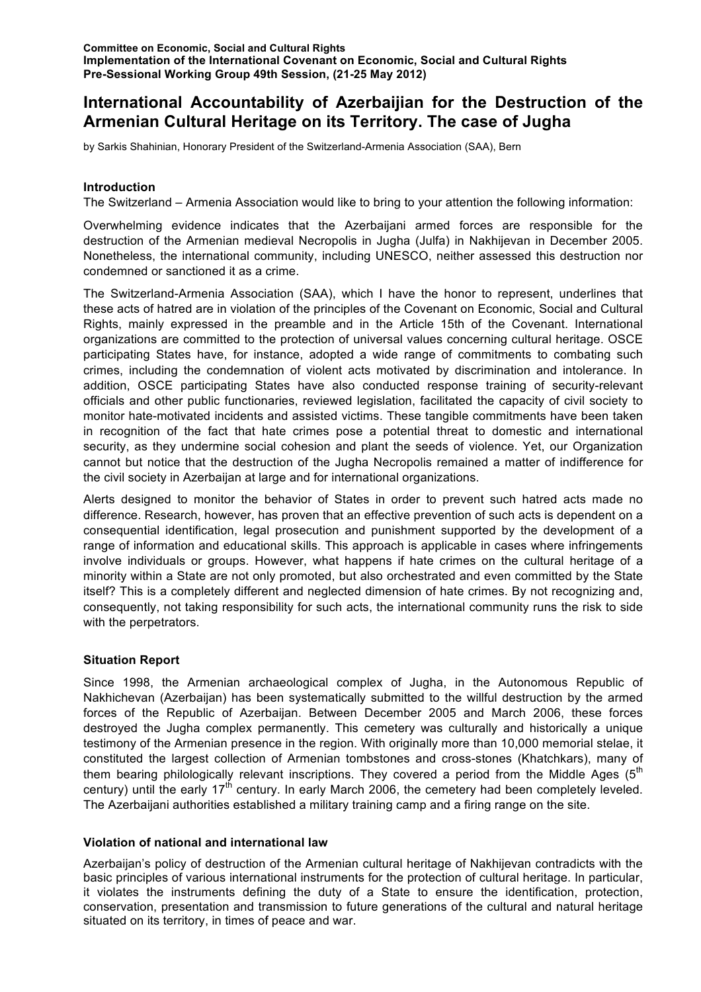# **International Accountability of Azerbaijian for the Destruction of the Armenian Cultural Heritage on its Territory. The case of Jugha**

by Sarkis Shahinian, Honorary President of the Switzerland-Armenia Association (SAA), Bern

## **Introduction**

The Switzerland – Armenia Association would like to bring to your attention the following information:

Overwhelming evidence indicates that the Azerbaijani armed forces are responsible for the destruction of the Armenian medieval Necropolis in Jugha (Julfa) in Nakhijevan in December 2005. Nonetheless, the international community, including UNESCO, neither assessed this destruction nor condemned or sanctioned it as a crime.

The Switzerland-Armenia Association (SAA), which I have the honor to represent, underlines that these acts of hatred are in violation of the principles of the Covenant on Economic, Social and Cultural Rights, mainly expressed in the preamble and in the Article 15th of the Covenant. International organizations are committed to the protection of universal values concerning cultural heritage. OSCE participating States have, for instance, adopted a wide range of commitments to combating such crimes, including the condemnation of violent acts motivated by discrimination and intolerance. In addition, OSCE participating States have also conducted response training of security-relevant officials and other public functionaries, reviewed legislation, facilitated the capacity of civil society to monitor hate-motivated incidents and assisted victims. These tangible commitments have been taken in recognition of the fact that hate crimes pose a potential threat to domestic and international security, as they undermine social cohesion and plant the seeds of violence. Yet, our Organization cannot but notice that the destruction of the Jugha Necropolis remained a matter of indifference for the civil society in Azerbaijan at large and for international organizations.

Alerts designed to monitor the behavior of States in order to prevent such hatred acts made no difference. Research, however, has proven that an effective prevention of such acts is dependent on a consequential identification, legal prosecution and punishment supported by the development of a range of information and educational skills. This approach is applicable in cases where infringements involve individuals or groups. However, what happens if hate crimes on the cultural heritage of a minority within a State are not only promoted, but also orchestrated and even committed by the State itself? This is a completely different and neglected dimension of hate crimes. By not recognizing and, consequently, not taking responsibility for such acts, the international community runs the risk to side with the perpetrators.

## **Situation Report**

Since 1998, the Armenian archaeological complex of Jugha, in the Autonomous Republic of Nakhichevan (Azerbaijan) has been systematically submitted to the willful destruction by the armed forces of the Republic of Azerbaijan. Between December 2005 and March 2006, these forces destroyed the Jugha complex permanently. This cemetery was culturally and historically a unique testimony of the Armenian presence in the region. With originally more than 10,000 memorial stelae, it constituted the largest collection of Armenian tombstones and cross-stones (Khatchkars), many of them bearing philologically relevant inscriptions. They covered a period from the Middle Ages (5<sup>th</sup> century) until the early  $17<sup>th</sup>$  century. In early March 2006, the cemetery had been completely leveled. The Azerbaijani authorities established a military training camp and a firing range on the site.

### **Violation of national and international law**

Azerbaijan's policy of destruction of the Armenian cultural heritage of Nakhijevan contradicts with the basic principles of various international instruments for the protection of cultural heritage. In particular, it violates the instruments defining the duty of a State to ensure the identification, protection, conservation, presentation and transmission to future generations of the cultural and natural heritage situated on its territory, in times of peace and war.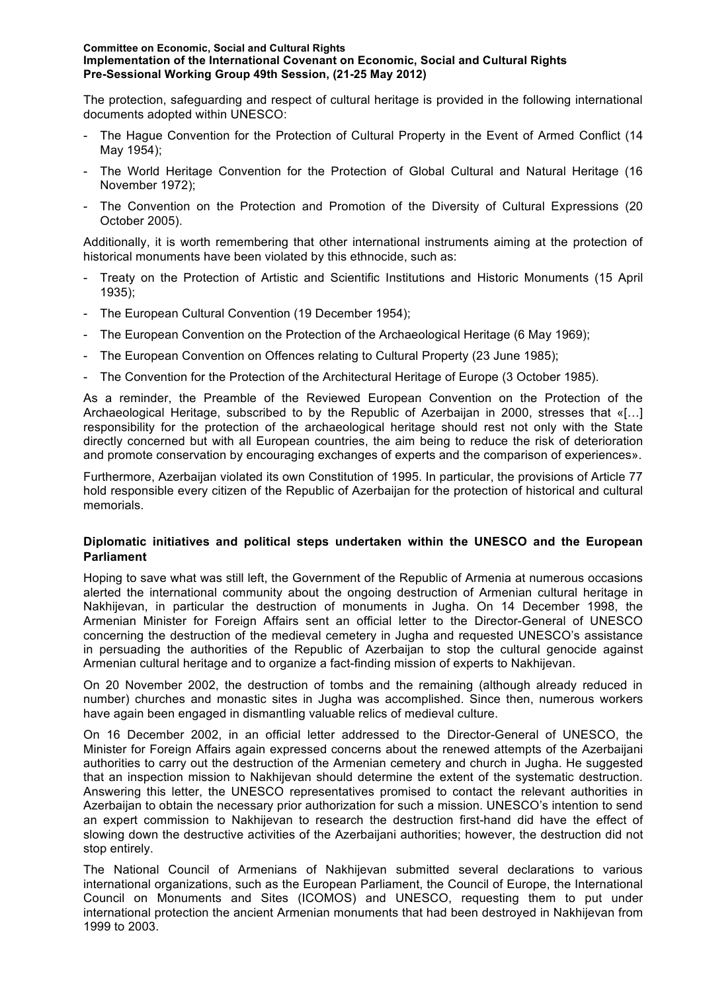#### **Committee on Economic, Social and Cultural Rights Implementation of the International Covenant on Economic, Social and Cultural Rights Pre-Sessional Working Group 49th Session, (21-25 May 2012)**

The protection, safeguarding and respect of cultural heritage is provided in the following international documents adopted within UNESCO:

- The Hague Convention for the Protection of Cultural Property in the Event of Armed Conflict (14 May 1954);
- The World Heritage Convention for the Protection of Global Cultural and Natural Heritage (16 November 1972);
- The Convention on the Protection and Promotion of the Diversity of Cultural Expressions (20 October 2005).

Additionally, it is worth remembering that other international instruments aiming at the protection of historical monuments have been violated by this ethnocide, such as:

- Treaty on the Protection of Artistic and Scientific Institutions and Historic Monuments (15 April 1935);
- The European Cultural Convention (19 December 1954);
- The European Convention on the Protection of the Archaeological Heritage (6 May 1969);
- The European Convention on Offences relating to Cultural Property (23 June 1985);
- The Convention for the Protection of the Architectural Heritage of Europe (3 October 1985).

As a reminder, the Preamble of the Reviewed European Convention on the Protection of the Archaeological Heritage, subscribed to by the Republic of Azerbaijan in 2000, stresses that «[…] responsibility for the protection of the archaeological heritage should rest not only with the State directly concerned but with all European countries, the aim being to reduce the risk of deterioration and promote conservation by encouraging exchanges of experts and the comparison of experiences».

Furthermore, Azerbaijan violated its own Constitution of 1995. In particular, the provisions of Article 77 hold responsible every citizen of the Republic of Azerbaijan for the protection of historical and cultural memorials.

## **Diplomatic initiatives and political steps undertaken within the UNESCO and the European Parliament**

Hoping to save what was still left, the Government of the Republic of Armenia at numerous occasions alerted the international community about the ongoing destruction of Armenian cultural heritage in Nakhijevan, in particular the destruction of monuments in Jugha. On 14 December 1998, the Armenian Minister for Foreign Affairs sent an official letter to the Director-General of UNESCO concerning the destruction of the medieval cemetery in Jugha and requested UNESCO's assistance in persuading the authorities of the Republic of Azerbaijan to stop the cultural genocide against Armenian cultural heritage and to organize a fact-finding mission of experts to Nakhijevan.

On 20 November 2002, the destruction of tombs and the remaining (although already reduced in number) churches and monastic sites in Jugha was accomplished. Since then, numerous workers have again been engaged in dismantling valuable relics of medieval culture.

On 16 December 2002, in an official letter addressed to the Director-General of UNESCO, the Minister for Foreign Affairs again expressed concerns about the renewed attempts of the Azerbaijani authorities to carry out the destruction of the Armenian cemetery and church in Jugha. He suggested that an inspection mission to Nakhijevan should determine the extent of the systematic destruction. Answering this letter, the UNESCO representatives promised to contact the relevant authorities in Azerbaijan to obtain the necessary prior authorization for such a mission. UNESCO's intention to send an expert commission to Nakhijevan to research the destruction first-hand did have the effect of slowing down the destructive activities of the Azerbaijani authorities; however, the destruction did not stop entirely.

The National Council of Armenians of Nakhijevan submitted several declarations to various international organizations, such as the European Parliament, the Council of Europe, the International Council on Monuments and Sites (ICOMOS) and UNESCO, requesting them to put under international protection the ancient Armenian monuments that had been destroyed in Nakhijevan from 1999 to 2003.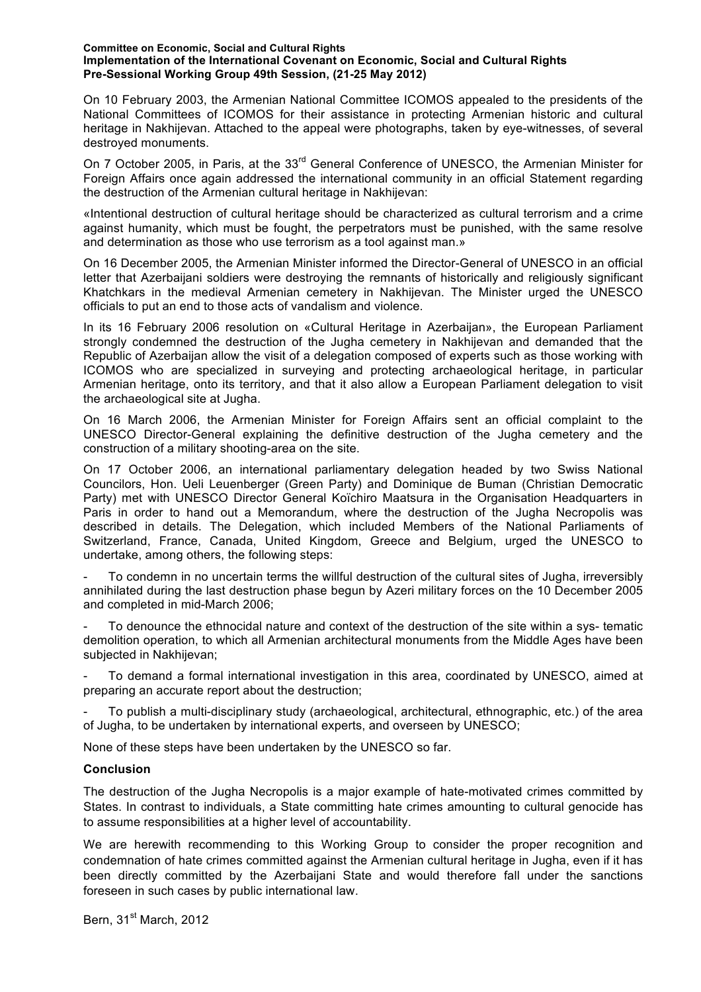#### **Committee on Economic, Social and Cultural Rights Implementation of the International Covenant on Economic, Social and Cultural Rights Pre-Sessional Working Group 49th Session, (21-25 May 2012)**

On 10 February 2003, the Armenian National Committee ICOMOS appealed to the presidents of the National Committees of ICOMOS for their assistance in protecting Armenian historic and cultural heritage in Nakhijevan. Attached to the appeal were photographs, taken by eye-witnesses, of several destroyed monuments.

On 7 October 2005, in Paris, at the 33<sup>rd</sup> General Conference of UNESCO, the Armenian Minister for Foreign Affairs once again addressed the international community in an official Statement regarding the destruction of the Armenian cultural heritage in Nakhijevan:

«Intentional destruction of cultural heritage should be characterized as cultural terrorism and a crime against humanity, which must be fought, the perpetrators must be punished, with the same resolve and determination as those who use terrorism as a tool against man.»

On 16 December 2005, the Armenian Minister informed the Director-General of UNESCO in an official letter that Azerbaijani soldiers were destroying the remnants of historically and religiously significant Khatchkars in the medieval Armenian cemetery in Nakhijevan. The Minister urged the UNESCO officials to put an end to those acts of vandalism and violence.

In its 16 February 2006 resolution on «Cultural Heritage in Azerbaijan», the European Parliament strongly condemned the destruction of the Jugha cemetery in Nakhijevan and demanded that the Republic of Azerbaijan allow the visit of a delegation composed of experts such as those working with ICOMOS who are specialized in surveying and protecting archaeological heritage, in particular Armenian heritage, onto its territory, and that it also allow a European Parliament delegation to visit the archaeological site at Jugha.

On 16 March 2006, the Armenian Minister for Foreign Affairs sent an official complaint to the UNESCO Director-General explaining the definitive destruction of the Jugha cemetery and the construction of a military shooting-area on the site.

On 17 October 2006, an international parliamentary delegation headed by two Swiss National Councilors, Hon. Ueli Leuenberger (Green Party) and Dominique de Buman (Christian Democratic Party) met with UNESCO Director General Koïchiro Maatsura in the Organisation Headquarters in Paris in order to hand out a Memorandum, where the destruction of the Jugha Necropolis was described in details. The Delegation, which included Members of the National Parliaments of Switzerland, France, Canada, United Kingdom, Greece and Belgium, urged the UNESCO to undertake, among others, the following steps:

- To condemn in no uncertain terms the willful destruction of the cultural sites of Jugha, irreversibly annihilated during the last destruction phase begun by Azeri military forces on the 10 December 2005 and completed in mid-March 2006;

To denounce the ethnocidal nature and context of the destruction of the site within a sys- tematic demolition operation, to which all Armenian architectural monuments from the Middle Ages have been subjected in Nakhijevan;

To demand a formal international investigation in this area, coordinated by UNESCO, aimed at preparing an accurate report about the destruction;

- To publish a multi-disciplinary study (archaeological, architectural, ethnographic, etc.) of the area of Jugha, to be undertaken by international experts, and overseen by UNESCO;

None of these steps have been undertaken by the UNESCO so far.

## **Conclusion**

The destruction of the Jugha Necropolis is a major example of hate-motivated crimes committed by States. In contrast to individuals, a State committing hate crimes amounting to cultural genocide has to assume responsibilities at a higher level of accountability.

We are herewith recommending to this Working Group to consider the proper recognition and condemnation of hate crimes committed against the Armenian cultural heritage in Jugha, even if it has been directly committed by the Azerbaijani State and would therefore fall under the sanctions foreseen in such cases by public international law.

Bern, 31<sup>st</sup> March, 2012